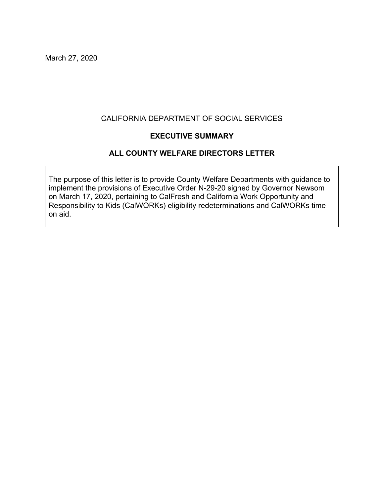March 27, 2020

#### CALIFORNIA DEPARTMENT OF SOCIAL SERVICES

#### **EXECUTIVE SUMMARY**

### **ALL COUNTY WELFARE DIRECTORS LETTER**

The purpose of this letter is to provide County Welfare Departments with guidance to implement the provisions of Executive Order N-29-20 signed by Governor Newsom on March 17, 2020, pertaining to CalFresh and California Work Opportunity and Responsibility to Kids (CalWORKs) eligibility redeterminations and CalWORKs time on aid.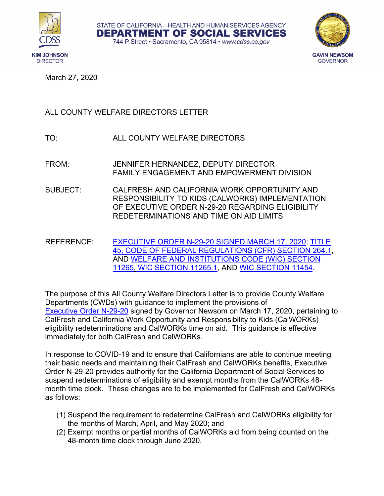





March 27, 2020

# ALL COUNTY WELFARE DIRECTORS LETTER

- TO: ALL COUNTY WELFARE DIRECTORS
- FROM: JENNIFER HERNANDEZ, DEPUTY DIRECTOR FAMILY ENGAGEMENT AND EMPOWERMENT DIVISION
- SUBJECT: CALFRESH AND CALIFORNIA WORK OPPORTUNITY AND RESPONSIBILITY TO KIDS (CALWORKS) IMPLEMENTATION OF EXECUTIVE ORDER N-29-20 REGARDING ELIGIBILITY REDETERMINATIONS AND TIME ON AID LIMITS
- REFERENCE: [EXECUTIVE ORDER N-29-20 SIGNED](https://www.gov.ca.gov/wp-content/uploads/2020/03/3.17.20-N-29-20-EO.pdf) MARCH 17, 2020; [TITLE](https://www.law.cornell.edu/cfr/text/45/264.1)  [45, CODE OF FEDERAL REGULATIONS \(CFR\) SECTION 264.1,](https://www.law.cornell.edu/cfr/text/45/264.1) AND [WELFARE AND INSTITUTIONS CODE \(WIC\) SECTION](https://leginfo.legislature.ca.gov/faces/codes_displaySection.xhtml?sectionNum=11265.&lawCode=WIC)  [11265,](https://leginfo.legislature.ca.gov/faces/codes_displaySection.xhtml?sectionNum=11265.&lawCode=WIC) [WIC SECTION 11265.1,](https://leginfo.legislature.ca.gov/faces/codes_displaySection.xhtml?sectionNum=11265.1.&lawCode=WIC) AND [WIC SECTION 11454.](https://leginfo.legislature.ca.gov/faces/codes_displayText.xhtml?lawCode=WIC&division=9.&title=&part=3.&chapter=2.&article=6.)

The purpose of this All County Welfare Directors Letter is to provide County Welfare Departments (CWDs) with guidance to implement the provisions of [Executive Order N-29-20](https://www.gov.ca.gov/wp-content/uploads/2020/03/3.17.20-N-29-20-EO.pdf) signed by Governor Newsom on March 17, 2020, pertaining to CalFresh and California Work Opportunity and Responsibility to Kids (CalWORKs) eligibility redeterminations and CalWORKs time on aid. This guidance is effective immediately for both CalFresh and CalWORKs.

In response to COVID-19 and to ensure that Californians are able to continue meeting their basic needs and maintaining their CalFresh and CalWORKs benefits, Executive Order N-29-20 provides authority for the California Department of Social Services to suspend redeterminations of eligibility and exempt months from the CalWORKs 48 month time clock. These changes are to be implemented for CalFresh and CalWORKs as follows:

- (1) Suspend the requirement to redetermine CalFresh and CalWORKs eligibility for the months of March, April, and May 2020; and
- (2) Exempt months or partial months of CalWORKs aid from being counted on the 48-month time clock through June 2020.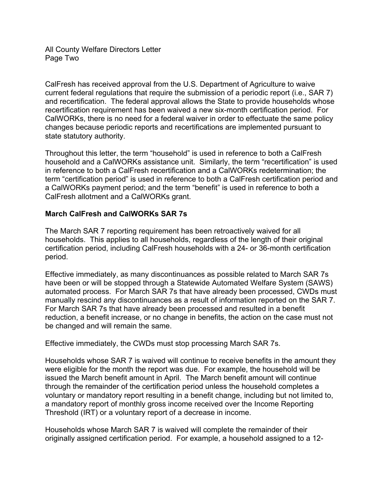All County Welfare Directors Letter Page Two

CalFresh has received approval from the U.S. Department of Agriculture to waive current federal regulations that require the submission of a periodic report (i.e., SAR 7) and recertification. The federal approval allows the State to provide households whose recertification requirement has been waived a new six-month certification period. For CalWORKs, there is no need for a federal waiver in order to effectuate the same policy changes because periodic reports and recertifications are implemented pursuant to state statutory authority.

Throughout this letter, the term "household" is used in reference to both a CalFresh household and a CalWORKs assistance unit. Similarly, the term "recertification" is used in reference to both a CalFresh recertification and a CalWORKs redetermination; the term "certification period" is used in reference to both a CalFresh certification period and a CalWORKs payment period; and the term "benefit" is used in reference to both a CalFresh allotment and a CalWORKs grant.

# **March CalFresh and CalWORKs SAR 7s**

The March SAR 7 reporting requirement has been retroactively waived for all households. This applies to all households, regardless of the length of their original certification period, including CalFresh households with a 24- or 36-month certification period.

Effective immediately, as many discontinuances as possible related to March SAR 7s have been or will be stopped through a Statewide Automated Welfare System (SAWS) automated process. For March SAR 7s that have already been processed, CWDs must manually rescind any discontinuances as a result of information reported on the SAR 7. For March SAR 7s that have already been processed and resulted in a benefit reduction, a benefit increase, or no change in benefits, the action on the case must not be changed and will remain the same.

Effective immediately, the CWDs must stop processing March SAR 7s.

Households whose SAR 7 is waived will continue to receive benefits in the amount they were eligible for the month the report was due. For example, the household will be issued the March benefit amount in April. The March benefit amount will continue through the remainder of the certification period unless the household completes a voluntary or mandatory report resulting in a benefit change, including but not limited to, a mandatory report of monthly gross income received over the Income Reporting Threshold (IRT) or a voluntary report of a decrease in income.

Households whose March SAR 7 is waived will complete the remainder of their originally assigned certification period. For example, a household assigned to a 12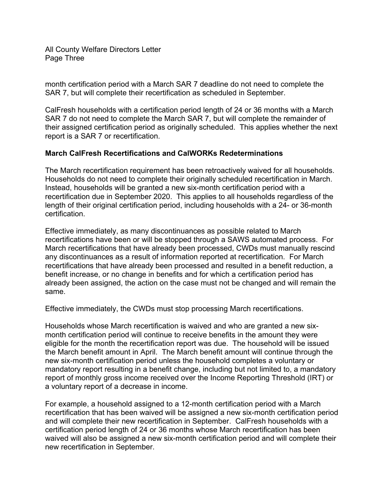All County Welfare Directors Letter Page Three

month certification period with a March SAR 7 deadline do not need to complete the SAR 7, but will complete their recertification as scheduled in September.

CalFresh households with a certification period length of 24 or 36 months with a March SAR 7 do not need to complete the March SAR 7, but will complete the remainder of their assigned certification period as originally scheduled. This applies whether the next report is a SAR 7 or recertification.

### **March CalFresh Recertifications and CalWORKs Redeterminations**

The March recertification requirement has been retroactively waived for all households. Households do not need to complete their originally scheduled recertification in March. Instead, households will be granted a new six-month certification period with a recertification due in September 2020. This applies to all households regardless of the length of their original certification period, including households with a 24- or 36-month certification.

Effective immediately, as many discontinuances as possible related to March recertifications have been or will be stopped through a SAWS automated process. For March recertifications that have already been processed, CWDs must manually rescind any discontinuances as a result of information reported at recertification. For March recertifications that have already been processed and resulted in a benefit reduction, a benefit increase, or no change in benefits and for which a certification period has already been assigned, the action on the case must not be changed and will remain the same.

Effective immediately, the CWDs must stop processing March recertifications.

Households whose March recertification is waived and who are granted a new sixmonth certification period will continue to receive benefits in the amount they were eligible for the month the recertification report was due. The household will be issued the March benefit amount in April. The March benefit amount will continue through the new six-month certification period unless the household completes a voluntary or mandatory report resulting in a benefit change, including but not limited to, a mandatory report of monthly gross income received over the Income Reporting Threshold (IRT) or a voluntary report of a decrease in income.

For example, a household assigned to a 12-month certification period with a March recertification that has been waived will be assigned a new six-month certification period and will complete their new recertification in September. CalFresh households with a certification period length of 24 or 36 months whose March recertification has been waived will also be assigned a new six-month certification period and will complete their new recertification in September.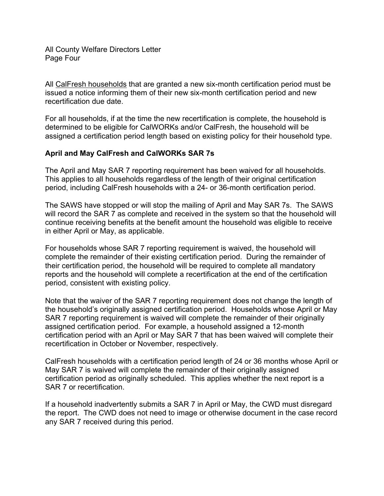All CalFresh households that are granted a new six-month certification period must be issued a notice informing them of their new six-month certification period and new recertification due date.

For all households, if at the time the new recertification is complete, the household is determined to be eligible for CalWORKs and/or CalFresh, the household will be assigned a certification period length based on existing policy for their household type.

# **April and May CalFresh and CalWORKs SAR 7s**

The April and May SAR 7 reporting requirement has been waived for all households. This applies to all households regardless of the length of their original certification period, including CalFresh households with a 24- or 36-month certification period.

The SAWS have stopped or will stop the mailing of April and May SAR 7s. The SAWS will record the SAR 7 as complete and received in the system so that the household will continue receiving benefits at the benefit amount the household was eligible to receive in either April or May, as applicable.

For households whose SAR 7 reporting requirement is waived, the household will complete the remainder of their existing certification period. During the remainder of their certification period, the household will be required to complete all mandatory reports and the household will complete a recertification at the end of the certification period, consistent with existing policy.

Note that the waiver of the SAR 7 reporting requirement does not change the length of the household's originally assigned certification period. Households whose April or May SAR 7 reporting requirement is waived will complete the remainder of their originally assigned certification period. For example, a household assigned a 12-month certification period with an April or May SAR 7 that has been waived will complete their recertification in October or November, respectively.

CalFresh households with a certification period length of 24 or 36 months whose April or May SAR 7 is waived will complete the remainder of their originally assigned certification period as originally scheduled. This applies whether the next report is a SAR 7 or recertification.

If a household inadvertently submits a SAR 7 in April or May, the CWD must disregard the report. The CWD does not need to image or otherwise document in the case record any SAR 7 received during this period.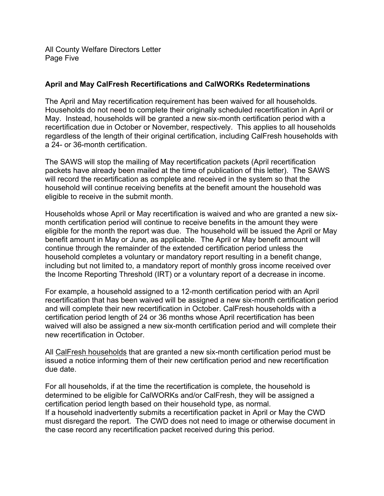All County Welfare Directors Letter Page Five

### **April and May CalFresh Recertifications and CalWORKs Redeterminations**

The April and May recertification requirement has been waived for all households. Households do not need to complete their originally scheduled recertification in April or May. Instead, households will be granted a new six-month certification period with a recertification due in October or November, respectively. This applies to all households regardless of the length of their original certification, including CalFresh households with a 24- or 36-month certification.

The SAWS will stop the mailing of May recertification packets (April recertification packets have already been mailed at the time of publication of this letter). The SAWS will record the recertification as complete and received in the system so that the household will continue receiving benefits at the benefit amount the household was eligible to receive in the submit month.

Households whose April or May recertification is waived and who are granted a new sixmonth certification period will continue to receive benefits in the amount they were eligible for the month the report was due. The household will be issued the April or May benefit amount in May or June, as applicable. The April or May benefit amount will continue through the remainder of the extended certification period unless the household completes a voluntary or mandatory report resulting in a benefit change, including but not limited to, a mandatory report of monthly gross income received over the Income Reporting Threshold (IRT) or a voluntary report of a decrease in income.

For example, a household assigned to a 12-month certification period with an April recertification that has been waived will be assigned a new six-month certification period and will complete their new recertification in October. CalFresh households with a certification period length of 24 or 36 months whose April recertification has been waived will also be assigned a new six-month certification period and will complete their new recertification in October.

All CalFresh households that are granted a new six-month certification period must be issued a notice informing them of their new certification period and new recertification due date.

For all households, if at the time the recertification is complete, the household is determined to be eligible for CalWORKs and/or CalFresh, they will be assigned a certification period length based on their household type, as normal. If a household inadvertently submits a recertification packet in April or May the CWD must disregard the report. The CWD does not need to image or otherwise document in the case record any recertification packet received during this period.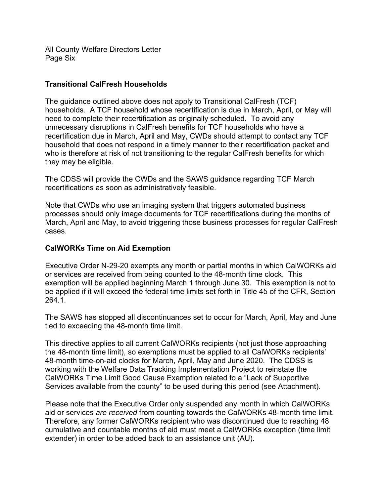All County Welfare Directors Letter Page Six

### **Transitional CalFresh Households**

The guidance outlined above does not apply to Transitional CalFresh (TCF) households. A TCF household whose recertification is due in March, April, or May will need to complete their recertification as originally scheduled. To avoid any unnecessary disruptions in CalFresh benefits for TCF households who have a recertification due in March, April and May, CWDs should attempt to contact any TCF household that does not respond in a timely manner to their recertification packet and who is therefore at risk of not transitioning to the regular CalFresh benefits for which they may be eligible.

The CDSS will provide the CWDs and the SAWS guidance regarding TCF March recertifications as soon as administratively feasible.

Note that CWDs who use an imaging system that triggers automated business processes should only image documents for TCF recertifications during the months of March, April and May, to avoid triggering those business processes for regular CalFresh cases.

#### **CalWORKs Time on Aid Exemption**

Executive Order N-29-20 exempts any month or partial months in which CalWORKs aid or services are received from being counted to the 48-month time clock. This exemption will be applied beginning March 1 through June 30. This exemption is not to be applied if it will exceed the federal time limits set forth in Title 45 of the CFR, Section 264.1.

The SAWS has stopped all discontinuances set to occur for March, April, May and June tied to exceeding the 48-month time limit.

This directive applies to all current CalWORKs recipients (not just those approaching the 48-month time limit), so exemptions must be applied to all CalWORKs recipients' 48-month time-on-aid clocks for March, April, May and June 2020. The CDSS is working with the Welfare Data Tracking Implementation Project to reinstate the CalWORKs Time Limit Good Cause Exemption related to a "Lack of Supportive Services available from the county" to be used during this period (see Attachment).

Please note that the Executive Order only suspended any month in which CalWORKs aid or services *are received* from counting towards the CalWORKs 48-month time limit. Therefore, any former CalWORKs recipient who was discontinued due to reaching 48 cumulative and countable months of aid must meet a CalWORKs exception (time limit extender) in order to be added back to an assistance unit (AU).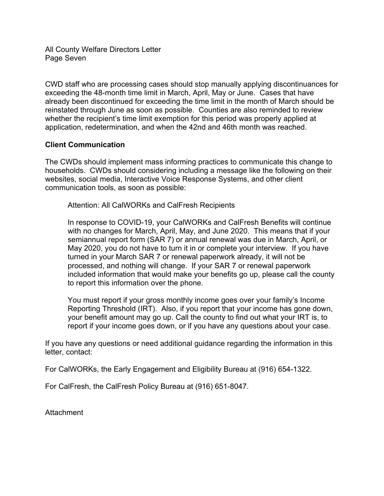All County Welfare Directors Letter Page Seven

CWD staff who are processing cases should stop manually applying discontinuances for exceeding the 48-month time limit in March, April, May or June. Cases that have already been discontinued for exceeding the time limit in the month of March should be reinstated through June as soon as possible. Counties are also reminded to review whether the recipient's time limit exemption for this period was properly applied at application, redetermination, and when the 42nd and 46th month was reached.

### **Client Communication**

The CWDs should implement mass informing practices to communicate this change to households. CWDs should considering including a message like the following on their websites, social media, Interactive Voice Response Systems, and other client communication tools, as soon as possible:

Attention: All CalWORKs and CalFresh Recipients

In response to COVID-19, your CalWORKs and CalFresh Benefits will continue with no changes for March, April, May, and June 2020. This means that if your semiannual report form (SAR 7) or annual renewal was due in March, April, or May 2020, you do not have to turn it in or complete your interview. If you have turned in your March SAR 7 or renewal paperwork already, it will not be processed, and nothing will change. If your SAR 7 or renewal paperwork included information that would make your benefits go up, please call the county to report this information over the phone.

You must report if your gross monthly income goes over your family's Income Reporting Threshold (IRT). Also, if you report that your income has gone down, your benefit amount may go up. Call the county to find out what your IRT is, to report if your income goes down, or if you have any questions about your case.

If you have any questions or need additional guidance regarding the information in this letter, contact:

For CalWORKs, the Early Engagement and Eligibility Bureau at (916) 654-1322.

For CalFresh, the CalFresh Policy Bureau at (916) 651-8047.

Attachment